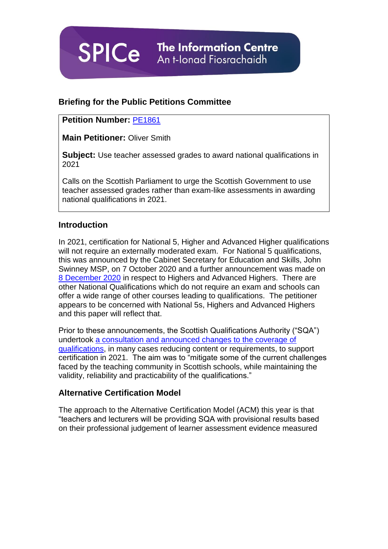**The Information Centre** An t-Ionad Fiosrachaidh

# **Briefing for the Public Petitions Committee**

# **Petition Number:** [PE1861](http://www.parliament.scot/GettingInvolved/Petitions/TeacherJudgement)

**SPICe** 

**Main Petitioner:** Oliver Smith

**Subject:** Use teacher assessed grades to award national qualifications in 2021

Calls on the Scottish Parliament to urge the Scottish Government to use teacher assessed grades rather than exam-like assessments in awarding national qualifications in 2021.

#### **Introduction**

In 2021, certification for National 5, Higher and Advanced Higher qualifications will not require an externally moderated exam. For National 5 qualifications, this was announced by the Cabinet Secretary for Education and Skills, John Swinney MSP, on 7 October 2020 and a further announcement was made on [8 December](http://www.parliament.scot/parliamentarybusiness/report.aspx?r=13001&mode=pdf) 2020 in respect to Highers and Advanced Highers. There are other National Qualifications which do not require an exam and schools can offer a wide range of other courses leading to qualifications. The petitioner appears to be concerned with National 5s, Highers and Advanced Highers and this paper will reflect that.

Prior to these announcements, the Scottish Qualifications Authority ("SQA") undertook [a consultation and announced changes to the coverage of](https://www.sqa.org.uk/sqa/files_ccc/outcomes-national-consultation-2021.pdf)  [qualifications,](https://www.sqa.org.uk/sqa/files_ccc/outcomes-national-consultation-2021.pdf) in many cases reducing content or requirements, to support certification in 2021. The aim was to "mitigate some of the current challenges faced by the teaching community in Scottish schools, while maintaining the validity, reliability and practicability of the qualifications."

# **Alternative Certification Model**

The approach to the Alternative Certification Model (ACM) this year is that "teachers and lecturers will be providing SQA with provisional results based on their professional judgement of learner assessment evidence measured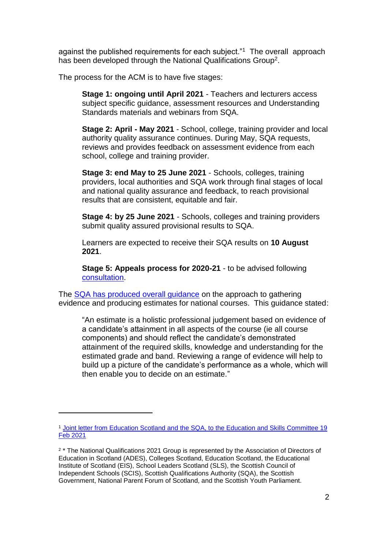against the published requirements for each subject."<sup>1</sup> The overall approach has been developed through the National Qualifications Group<sup>2</sup>.

The process for the ACM is to have five stages:

**Stage 1: ongoing until April 2021** - Teachers and lecturers access subject specific guidance, assessment resources and Understanding Standards materials and webinars from SQA.

**Stage 2: April - May 2021** - School, college, training provider and local authority quality assurance continues. During May, SQA requests, reviews and provides feedback on assessment evidence from each school, college and training provider.

**Stage 3: end May to 25 June 2021** - Schools, colleges, training providers, local authorities and SQA work through final stages of local and national quality assurance and feedback, to reach provisional results that are consistent, equitable and fair.

**Stage 4: by 25 June 2021** - Schools, colleges and training providers submit quality assured provisional results to SQA.

Learners are expected to receive their SQA results on **10 August 2021**.

**Stage 5: Appeals process for 2020-21** - to be advised following [consultation.](https://www.sqa.org.uk/sqa/97103.html)

The [SQA has produced overall guidance](https://www.sqa.org.uk/sqa/files_ccc/nq-estimates-guidance-2020-21.pdf) on the approach to gathering evidence and producing estimates for national courses. This guidance stated:

"An estimate is a holistic professional judgement based on evidence of a candidate's attainment in all aspects of the course (ie all course components) and should reflect the candidate's demonstrated attainment of the required skills, knowledge and understanding for the estimated grade and band. Reviewing a range of evidence will help to build up a picture of the candidate's performance as a whole, which will then enable you to decide on an estimate."

l

<sup>1</sup> [Joint letter from Education Scotland and the SQA, to the Education and Skills Committee 19](https://www.parliament.scot/S5_Education/General%20Documents/20210219Joint_reponse_from_SQA_and_Education_Scotland.pdf)  [Feb 2021](https://www.parliament.scot/S5_Education/General%20Documents/20210219Joint_reponse_from_SQA_and_Education_Scotland.pdf)

<sup>&</sup>lt;sup>2</sup> \* The National Qualifications 2021 Group is represented by the Association of Directors of Education in Scotland (ADES), Colleges Scotland, Education Scotland, the Educational Institute of Scotland (EIS), School Leaders Scotland (SLS), the Scottish Council of Independent Schools (SCIS), Scottish Qualifications Authority (SQA), the Scottish Government, National Parent Forum of Scotland, and the Scottish Youth Parliament.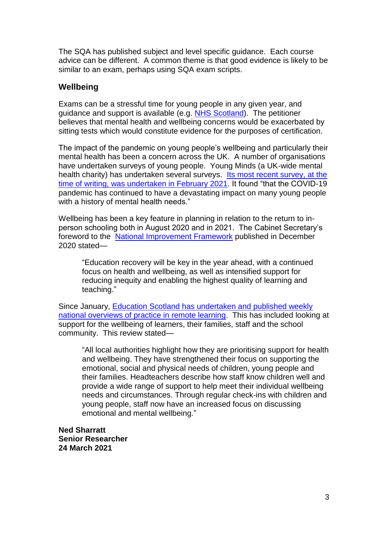The SQA has published subject and level specific guidance. Each course advice can be different. A common theme is that good evidence is likely to be similar to an exam, perhaps using SQA exam scripts.

# **Wellbeing**

Exams can be a stressful time for young people in any given year, and guidance and support is available (e.g. [NHS Scotland\)](https://www.nhsinform.scot/healthy-living/mental-wellbeing/stress/coping-with-exam-stress). The petitioner believes that mental health and wellbeing concerns would be exacerbated by sitting tests which would constitute evidence for the purposes of certification.

The impact of the pandemic on young people's wellbeing and particularly their mental health has been a concern across the UK. A number of organisations have undertaken surveys of young people. Young Minds (a UK-wide mental health charity) has undertaken several surveys. [Its most recent survey, at the](https://youngminds.org.uk/media/4350/coronavirus-report-winter.pdf)  [time of writing, was undertaken in February 2021.](https://youngminds.org.uk/media/4350/coronavirus-report-winter.pdf) It found "that the COVID-19 pandemic has continued to have a devastating impact on many young people with a history of mental health needs."

Wellbeing has been a key feature in planning in relation to the return to inperson schooling both in August 2020 and in 2021. The Cabinet Secretary's foreword to the [National Improvement Framework](https://www.gov.scot/binaries/content/documents/govscot/publications/strategy-plan/2020/12/2021-national-improvement-framework-improvement-plan/documents/achieving-excellence-equity-2021-national-improvement-framework-improvement-plan/achieving-excellence-equity-2021-national-improvement-framework-improvement-plan/govscot%3Adocument/achieving-excellence-equity-2021-national-improvement-framework-improvement-plan.pdf) published in December 2020 stated—

"Education recovery will be key in the year ahead, with a continued focus on health and wellbeing, as well as intensified support for reducing inequity and enabling the highest quality of learning and teaching."

Since January, [Education Scotland has undertaken and published weekly](https://education.gov.scot/improvement/supporting-remote-learning/national-overviews/national-overview-of-practice-reports/)  [national overviews of practice in remote learning.](https://education.gov.scot/improvement/supporting-remote-learning/national-overviews/national-overview-of-practice-reports/) This has included looking at support for the wellbeing of learners, their families, staff and the school community. This review stated—

"All local authorities highlight how they are prioritising support for health and wellbeing. They have strengthened their focus on supporting the emotional, social and physical needs of children, young people and their families. Headteachers describe how staff know children well and provide a wide range of support to help meet their individual wellbeing needs and circumstances. Through regular check-ins with children and young people, staff now have an increased focus on discussing emotional and mental wellbeing."

**Ned Sharratt Senior Researcher 24 March 2021**